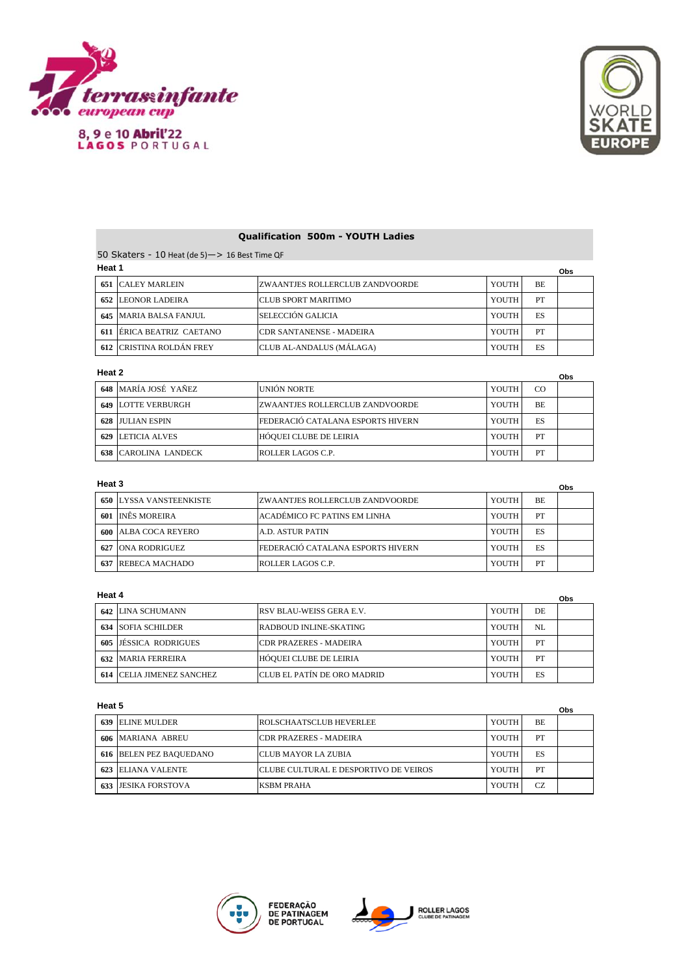

8, 9 e 10 Abril'22<br>LAGOS PORTUGAL



# **Qualification 500m - YOUTH Ladies**

50 Skaters - 10 Heat (de 5)—> 16 Best Time QF **Heat 1**

| .   | Obs                           |                                  |       |           |  |
|-----|-------------------------------|----------------------------------|-------|-----------|--|
|     | <b>651 CALEY MARLEIN</b>      | IZWAANTJES ROLLERCLUB ZANDVOORDE | YOUTH | <b>BE</b> |  |
| 652 | LEONOR LADEIRA                | <b>ICLUB SPORT MARITIMO</b>      | YOUTH | PT        |  |
|     | <b>645 MARIA BALSA FANJUL</b> | SELECCIÓN GALICIA                | YOUTH | ES        |  |
| 611 | <b>ERICA BEATRIZ CAETANO</b>  | ICDR SANTANENSE - MADEIRA        | YOUTH | PT        |  |
|     | 612 CRISTINA ROLDÁN FREY      | CLUB AL-ANDALUS (MÁLAGA)         | YOUTH | ES        |  |

#### **Heat 2**

| Heat 2<br>Obs |                           |                                   |         |     |  |
|---------------|---------------------------|-----------------------------------|---------|-----|--|
|               | 648 MARÍA JOSÉ YAÑEZ      | UNIÓN NORTE                       | YOUTH I | CO  |  |
|               | <b>649 LOTTE VERBURGH</b> | IZWAANTJES ROLLERCLUB ZANDVOORDE  | YOUTH   | BE. |  |
|               | 628 JULIAN ESPIN          | FEDERACIÓ CATALANA ESPORTS HIVERN | YOUTH   | ES  |  |
| 629           | LETICIA ALVES             | HÓQUEI CLUBE DE LEIRIA            | YOUTH   | PT  |  |
| 638           | CAROLINA LANDECK          | ROLLER LAGOS C.P.                 | YOUTH   | PT  |  |

### **Heat 3**

| Heat 3<br>Obs |                                |                                   |       |     |  |
|---------------|--------------------------------|-----------------------------------|-------|-----|--|
|               | <b>650 LYSSA VANSTEENKISTE</b> | ZWAANTJES ROLLERCLUB ZANDVOORDE   | YOUTH | BE. |  |
| 601           | <b>INÊS MOREIRA</b>            | ACADÉMICO FC PATINS EM LINHA      | YOUTH | PT  |  |
|               | <b>600 ALBA COCA REYERO</b>    | A.D. ASTUR PATIN                  | YOUTH | ES  |  |
| 627           | <b>ONA RODRIGUEZ</b>           | FEDERACIÓ CATALANA ESPORTS HIVERN | YOUTH | ES  |  |
| 637           | REBECA MACHADO                 | ROLLER LAGOS C.P.                 | YOUTH | PT  |  |

## **Heat 4**

|     | 115au 4                      |                                    |         |     | Obs |
|-----|------------------------------|------------------------------------|---------|-----|-----|
|     | 642 LINA SCHUMANN            | <b>RSV BLAU-WEISS GERA E.V.</b>    | YOUTH   | DE. |     |
| 634 | <b>SOFIA SCHILDER</b>        | RADBOUD INLINE-SKATING             | YOUTH I | NI. |     |
| 605 | <b>JESSICA RODRIGUES</b>     | <b>ICDR PRAZERES - MADEIRA</b>     | YOUTH   | PT  |     |
|     | <b>632 MARIA FERREIRA</b>    | HÓQUEI CLUBE DE LEIRIA             | YOUTH   | PT  |     |
| 614 | <b>CELIA JIMENEZ SANCHEZ</b> | <b>CLUB EL PATÍN DE ORO MADRID</b> | YOUTH   | ES  |     |

## **Heat 5**

| пеаι э<br>Obs                  |                                        |       |           |  |
|--------------------------------|----------------------------------------|-------|-----------|--|
| <b>639 ELINE MULDER</b>        | <b>ROLSCHAATSCLUB HEVERLEE</b>         | YOUTH | BE        |  |
| 606 MARIANA ABREU              | <b>CDR PRAZERES - MADEIRA</b>          | YOUTH | PT        |  |
| <b>616 BELEN PEZ BAQUEDANO</b> | ICLUB MAYOR LA ZUBIA                   | YOUTH | ES        |  |
| 623 ELIANA VALENTE             | ICLUBE CULTURAL E DESPORTIVO DE VEIROS | YOUTH | PT        |  |
| <b>633 JESIKA FORSTOVA</b>     | <b>KSBM PRAHA</b>                      | YOUTH | <b>CZ</b> |  |